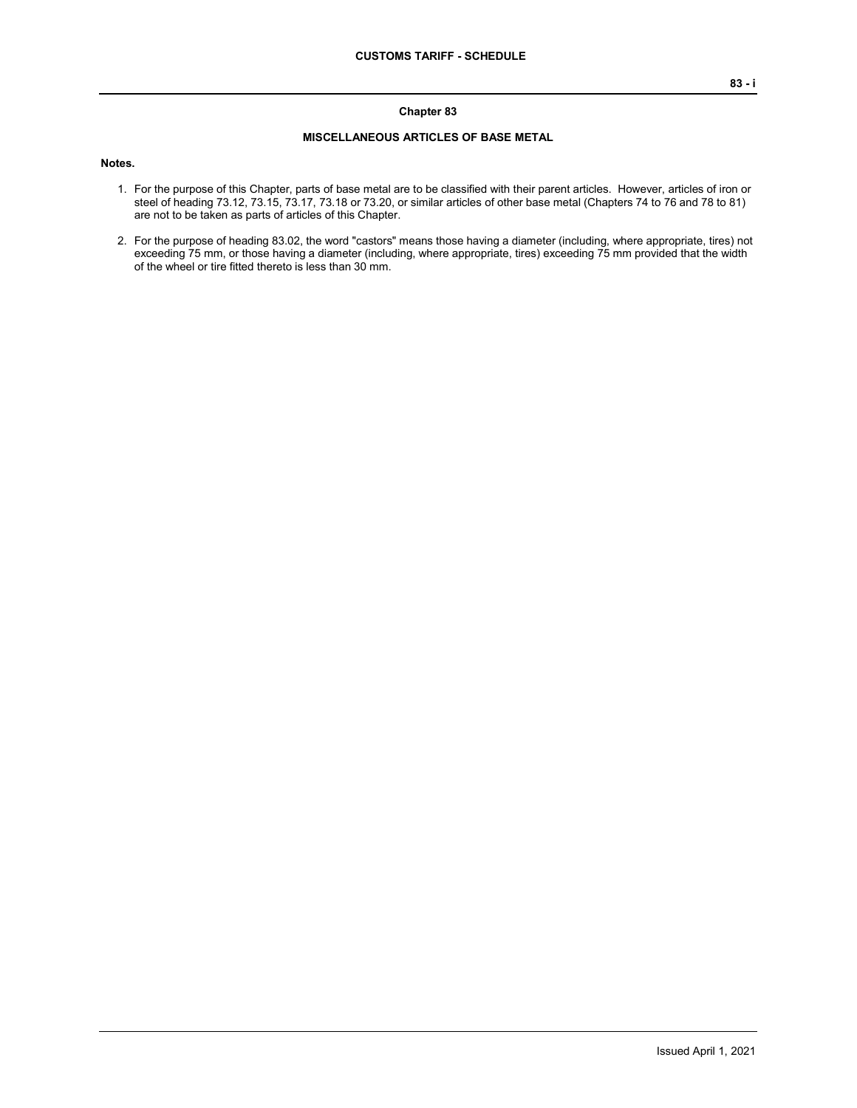#### **Chapter 83**

### **MISCELLANEOUS ARTICLES OF BASE METAL**

#### **Notes.**

- 1. For the purpose of this Chapter, parts of base metal are to be classified with their parent articles. However, articles of iron or steel of heading 73.12, 73.15, 73.17, 73.18 or 73.20, or similar articles of other base metal (Chapters 74 to 76 and 78 to 81) are not to be taken as parts of articles of this Chapter.
- 2. For the purpose of heading 83.02, the word "castors" means those having a diameter (including, where appropriate, tires) not exceeding 75 mm, or those having a diameter (including, where appropriate, tires) exceeding 75 mm provided that the width of the wheel or tire fitted thereto is less than 30 mm.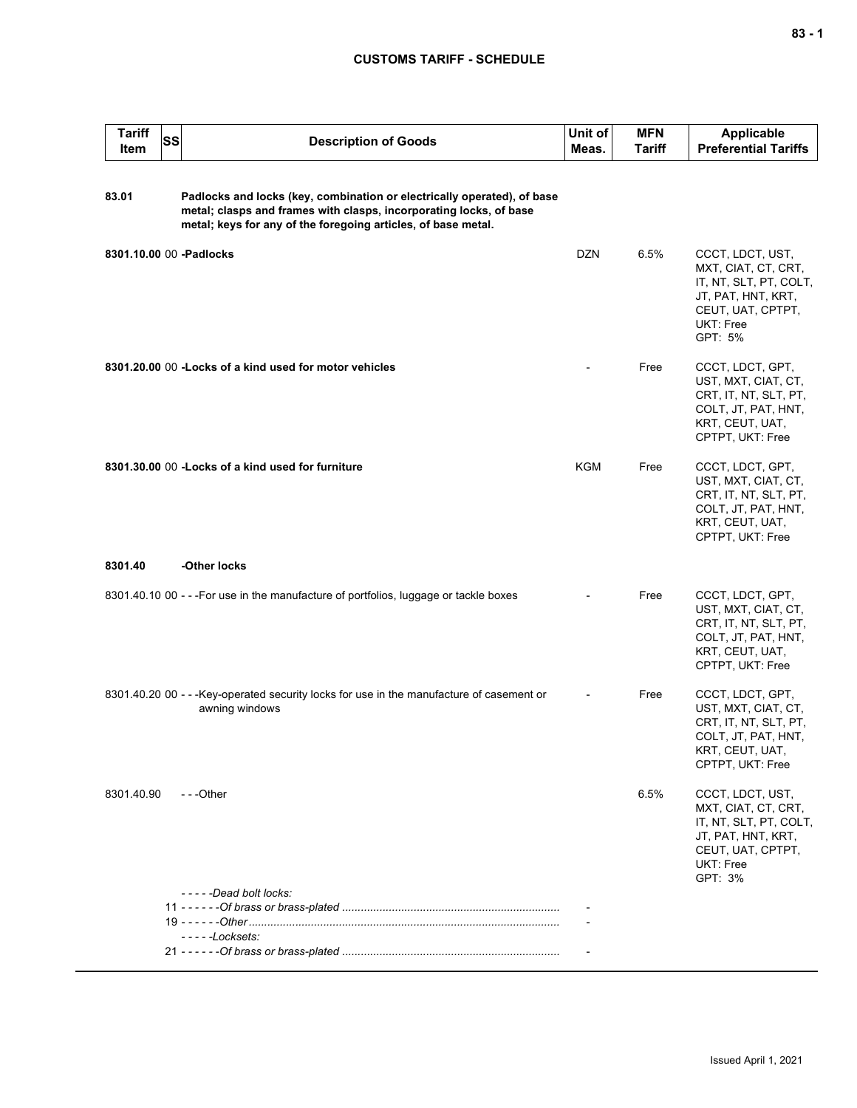## **CUSTOMS TARIFF - SCHEDULE**

| <b>Tariff</b><br>Item | <b>SS</b> | <b>Description of Goods</b>                                                                                                                                                                                    | Unit of<br>Meas. | <b>MFN</b><br>Tariff | <b>Applicable</b><br><b>Preferential Tariffs</b>                                                                                     |
|-----------------------|-----------|----------------------------------------------------------------------------------------------------------------------------------------------------------------------------------------------------------------|------------------|----------------------|--------------------------------------------------------------------------------------------------------------------------------------|
| 83.01                 |           | Padlocks and locks (key, combination or electrically operated), of base<br>metal; clasps and frames with clasps, incorporating locks, of base<br>metal; keys for any of the foregoing articles, of base metal. |                  |                      |                                                                                                                                      |
|                       |           | 8301.10.00 00 - Padlocks                                                                                                                                                                                       | <b>DZN</b>       | 6.5%                 | CCCT, LDCT, UST,<br>MXT, CIAT, CT, CRT,<br>IT, NT, SLT, PT, COLT,<br>JT, PAT, HNT, KRT,<br>CEUT, UAT, CPTPT,<br>UKT: Free<br>GPT: 5% |
|                       |           | 8301.20.00 00 - Locks of a kind used for motor vehicles                                                                                                                                                        |                  | Free                 | CCCT, LDCT, GPT,<br>UST, MXT, CIAT, CT,<br>CRT, IT, NT, SLT, PT,<br>COLT, JT, PAT, HNT,<br>KRT, CEUT, UAT,<br>CPTPT, UKT: Free       |
|                       |           | 8301.30.00 00 - Locks of a kind used for furniture                                                                                                                                                             | <b>KGM</b>       | Free                 | CCCT, LDCT, GPT,<br>UST, MXT, CIAT, CT,<br>CRT, IT, NT, SLT, PT,<br>COLT, JT, PAT, HNT,<br>KRT, CEUT, UAT,<br>CPTPT, UKT: Free       |
| 8301.40               |           | -Other locks                                                                                                                                                                                                   |                  |                      |                                                                                                                                      |
|                       |           | 8301.40.10 00 - - - For use in the manufacture of portfolios, luggage or tackle boxes                                                                                                                          |                  | Free                 | CCCT, LDCT, GPT,<br>UST, MXT, CIAT, CT,<br>CRT, IT, NT, SLT, PT,<br>COLT, JT, PAT, HNT,<br>KRT, CEUT, UAT,<br>CPTPT, UKT: Free       |
|                       |           | 8301.40.20 00 - - - Key-operated security locks for use in the manufacture of casement or<br>awning windows                                                                                                    |                  | Free                 | CCCT, LDCT, GPT,<br>UST, MXT, CIAT, CT,<br>CRT, IT, NT, SLT, PT,<br>COLT, JT, PAT, HNT,<br>KRT, CEUT, UAT,<br>CPTPT, UKT: Free       |
| 8301.40.90            |           | ---Other                                                                                                                                                                                                       |                  | 6.5%                 | CCCT, LDCT, UST,<br>MXT, CIAT, CT, CRT,<br>IT, NT, SLT, PT, COLT,<br>JT, PAT, HNT, KRT,<br>CEUT, UAT, CPTPT,<br>UKT: Free<br>GPT: 3% |
|                       |           | -----Dead bolt locks:                                                                                                                                                                                          |                  |                      |                                                                                                                                      |
|                       |           |                                                                                                                                                                                                                |                  |                      |                                                                                                                                      |
|                       |           | $---Locksets:$                                                                                                                                                                                                 |                  |                      |                                                                                                                                      |
|                       |           |                                                                                                                                                                                                                |                  |                      |                                                                                                                                      |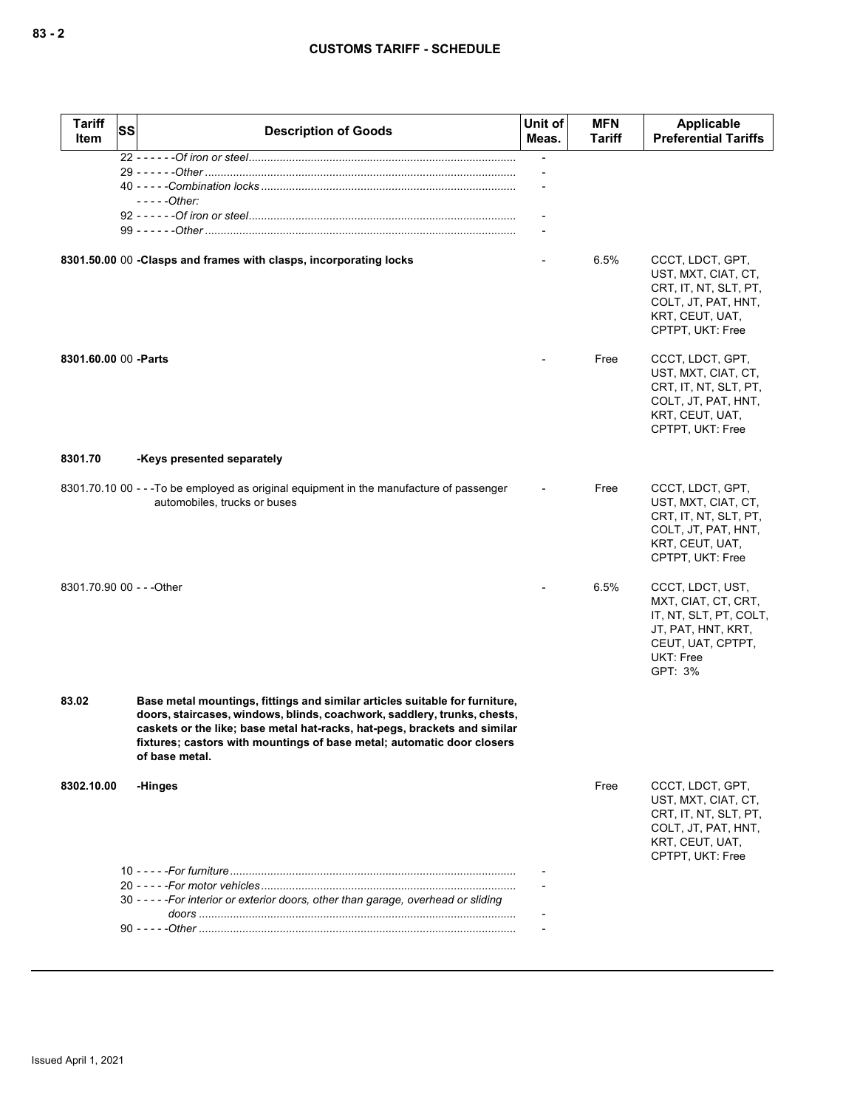| <b>Tariff</b><br><b>Item</b> | SS | <b>Description of Goods</b>                                                                                                                                                                                                                                                                                                      | Unit of<br>Meas. | <b>MFN</b><br>Tariff | Applicable<br><b>Preferential Tariffs</b>                                                                                            |
|------------------------------|----|----------------------------------------------------------------------------------------------------------------------------------------------------------------------------------------------------------------------------------------------------------------------------------------------------------------------------------|------------------|----------------------|--------------------------------------------------------------------------------------------------------------------------------------|
|                              |    | - - - - - Other:                                                                                                                                                                                                                                                                                                                 |                  |                      |                                                                                                                                      |
|                              |    |                                                                                                                                                                                                                                                                                                                                  |                  |                      |                                                                                                                                      |
|                              |    | 8301.50.00 00 -Clasps and frames with clasps, incorporating locks                                                                                                                                                                                                                                                                |                  | 6.5%                 | CCCT, LDCT, GPT,<br>UST, MXT, CIAT, CT,<br>CRT, IT, NT, SLT, PT,<br>COLT, JT, PAT, HNT,<br>KRT, CEUT, UAT,<br>CPTPT, UKT: Free       |
| 8301.60.00 00 - Parts        |    |                                                                                                                                                                                                                                                                                                                                  |                  | Free                 | CCCT, LDCT, GPT,<br>UST, MXT, CIAT, CT,<br>CRT, IT, NT, SLT, PT,<br>COLT, JT, PAT, HNT,<br>KRT, CEUT, UAT,<br>CPTPT, UKT: Free       |
| 8301.70                      |    | -Keys presented separately                                                                                                                                                                                                                                                                                                       |                  |                      |                                                                                                                                      |
|                              |    | 8301.70.10 00 - - -To be employed as original equipment in the manufacture of passenger<br>automobiles, trucks or buses                                                                                                                                                                                                          |                  | Free                 | CCCT, LDCT, GPT,<br>UST, MXT, CIAT, CT,<br>CRT, IT, NT, SLT, PT,<br>COLT, JT, PAT, HNT,<br>KRT, CEUT, UAT,<br>CPTPT, UKT: Free       |
| 8301.70.90 00 - - - Other    |    |                                                                                                                                                                                                                                                                                                                                  |                  | 6.5%                 | CCCT, LDCT, UST,<br>MXT, CIAT, CT, CRT,<br>IT, NT, SLT, PT, COLT,<br>JT, PAT, HNT, KRT,<br>CEUT, UAT, CPTPT,<br>UKT: Free<br>GPT: 3% |
| 83.02                        |    | Base metal mountings, fittings and similar articles suitable for furniture,<br>doors, staircases, windows, blinds, coachwork, saddlery, trunks, chests,<br>caskets or the like; base metal hat-racks, hat-pegs, brackets and similar<br>fixtures; castors with mountings of base metal; automatic door closers<br>of base metal. |                  |                      |                                                                                                                                      |
| 8302.10.00                   |    | -Hinges                                                                                                                                                                                                                                                                                                                          |                  | Free                 | CCCT, LDCT, GPT,<br>UST, MXT, CIAT, CT,<br>CRT, IT, NT, SLT, PT,<br>COLT, JT, PAT, HNT,<br>KRT, CEUT, UAT,<br>CPTPT, UKT: Free       |
|                              |    |                                                                                                                                                                                                                                                                                                                                  |                  |                      |                                                                                                                                      |
|                              |    | 30 - - - - - For interior or exterior doors, other than garage, overhead or sliding                                                                                                                                                                                                                                              |                  |                      |                                                                                                                                      |
|                              |    |                                                                                                                                                                                                                                                                                                                                  |                  |                      |                                                                                                                                      |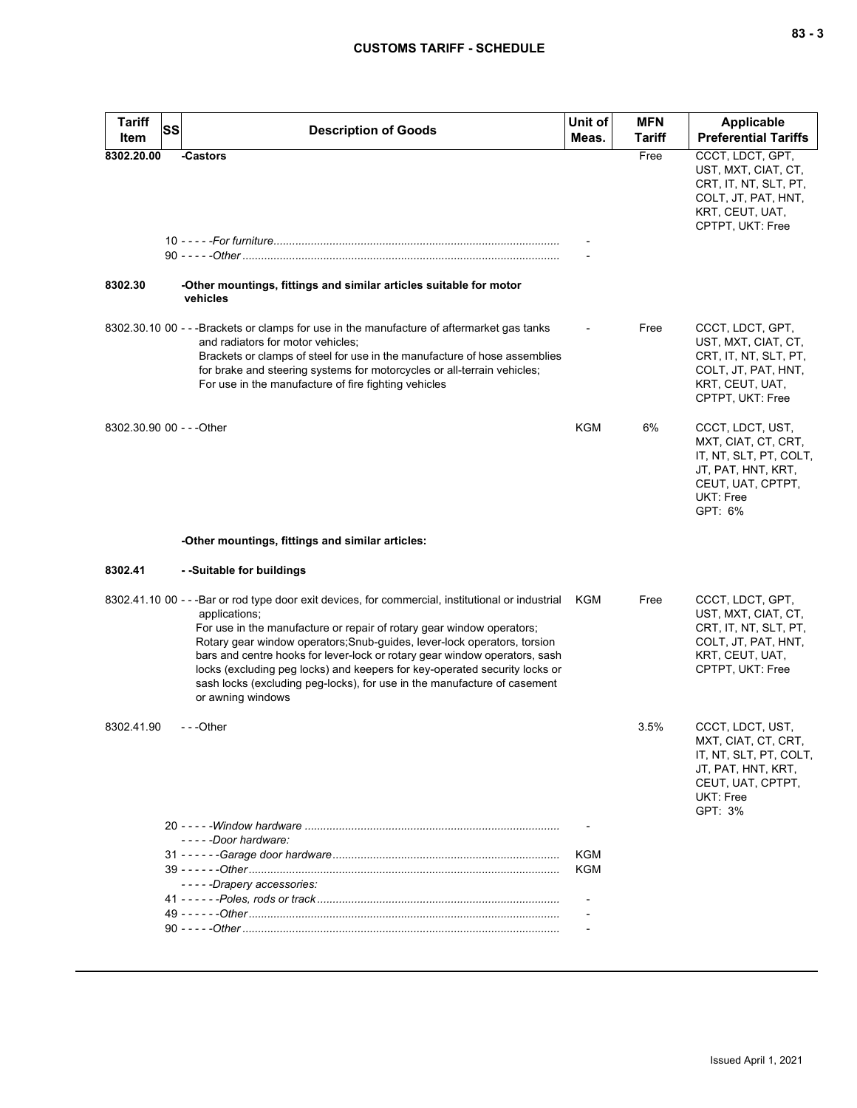| <b>Tariff</b>             | <b>SS</b> | <b>Description of Goods</b>                                                                                                                                                                                                                                                                                                                                                                                                                                                                                                               | Unit of    | <b>MFN</b>    | Applicable                                                                                                                           |
|---------------------------|-----------|-------------------------------------------------------------------------------------------------------------------------------------------------------------------------------------------------------------------------------------------------------------------------------------------------------------------------------------------------------------------------------------------------------------------------------------------------------------------------------------------------------------------------------------------|------------|---------------|--------------------------------------------------------------------------------------------------------------------------------------|
| Item                      |           |                                                                                                                                                                                                                                                                                                                                                                                                                                                                                                                                           | Meas.      | <b>Tariff</b> | <b>Preferential Tariffs</b>                                                                                                          |
| 8302.20.00                |           | -Castors                                                                                                                                                                                                                                                                                                                                                                                                                                                                                                                                  |            | Free          | CCCT, LDCT, GPT,<br>UST, MXT, CIAT, CT,<br>CRT, IT, NT, SLT, PT,<br>COLT, JT, PAT, HNT,<br>KRT, CEUT, UAT,<br>CPTPT, UKT: Free       |
|                           |           |                                                                                                                                                                                                                                                                                                                                                                                                                                                                                                                                           |            |               |                                                                                                                                      |
| 8302.30                   |           | -Other mountings, fittings and similar articles suitable for motor<br>vehicles                                                                                                                                                                                                                                                                                                                                                                                                                                                            |            |               |                                                                                                                                      |
|                           |           | 8302.30.10 00 - - -Brackets or clamps for use in the manufacture of aftermarket gas tanks<br>and radiators for motor vehicles;<br>Brackets or clamps of steel for use in the manufacture of hose assemblies<br>for brake and steering systems for motorcycles or all-terrain vehicles;<br>For use in the manufacture of fire fighting vehicles                                                                                                                                                                                            |            | Free          | CCCT, LDCT, GPT,<br>UST, MXT, CIAT, CT,<br>CRT, IT, NT, SLT, PT,<br>COLT, JT, PAT, HNT,<br>KRT, CEUT, UAT,<br>CPTPT, UKT: Free       |
| 8302.30.90 00 - - - Other |           |                                                                                                                                                                                                                                                                                                                                                                                                                                                                                                                                           | <b>KGM</b> | 6%            | CCCT, LDCT, UST,<br>MXT, CIAT, CT, CRT,<br>IT, NT, SLT, PT, COLT,<br>JT, PAT, HNT, KRT,<br>CEUT, UAT, CPTPT,<br>UKT: Free<br>GPT: 6% |
|                           |           | -Other mountings, fittings and similar articles:                                                                                                                                                                                                                                                                                                                                                                                                                                                                                          |            |               |                                                                                                                                      |
| 8302.41                   |           | - -Suitable for buildings                                                                                                                                                                                                                                                                                                                                                                                                                                                                                                                 |            |               |                                                                                                                                      |
|                           |           | 8302.41.10 00 - - - Bar or rod type door exit devices, for commercial, institutional or industrial KGM<br>applications;<br>For use in the manufacture or repair of rotary gear window operators;<br>Rotary gear window operators; Snub-guides, lever-lock operators, torsion<br>bars and centre hooks for lever-lock or rotary gear window operators, sash<br>locks (excluding peg locks) and keepers for key-operated security locks or<br>sash locks (excluding peg-locks), for use in the manufacture of casement<br>or awning windows |            | Free          | CCCT, LDCT, GPT,<br>UST, MXT, CIAT, CT,<br>CRT, IT, NT, SLT, PT,<br>COLT, JT, PAT, HNT,<br>KRT, CEUT, UAT,<br>CPTPT, UKT: Free       |
| 8302.41.90                |           | $- -$ Other                                                                                                                                                                                                                                                                                                                                                                                                                                                                                                                               |            | 3.5%          | CCCT, LDCT, UST,<br>MXT, CIAT, CT, CRT,<br>IT, NT, SLT, PT, COLT,<br>JT, PAT, HNT, KRT,<br>CEUT, UAT, CPTPT,<br>UKT: Free<br>GPT: 3% |
|                           |           |                                                                                                                                                                                                                                                                                                                                                                                                                                                                                                                                           |            |               |                                                                                                                                      |
|                           |           | -----Door hardware:                                                                                                                                                                                                                                                                                                                                                                                                                                                                                                                       |            |               |                                                                                                                                      |
|                           |           |                                                                                                                                                                                                                                                                                                                                                                                                                                                                                                                                           | KGM<br>KGM |               |                                                                                                                                      |
|                           |           | - - - - -Drapery accessories:                                                                                                                                                                                                                                                                                                                                                                                                                                                                                                             |            |               |                                                                                                                                      |
|                           |           |                                                                                                                                                                                                                                                                                                                                                                                                                                                                                                                                           |            |               |                                                                                                                                      |
|                           |           |                                                                                                                                                                                                                                                                                                                                                                                                                                                                                                                                           |            |               |                                                                                                                                      |
|                           |           |                                                                                                                                                                                                                                                                                                                                                                                                                                                                                                                                           |            |               |                                                                                                                                      |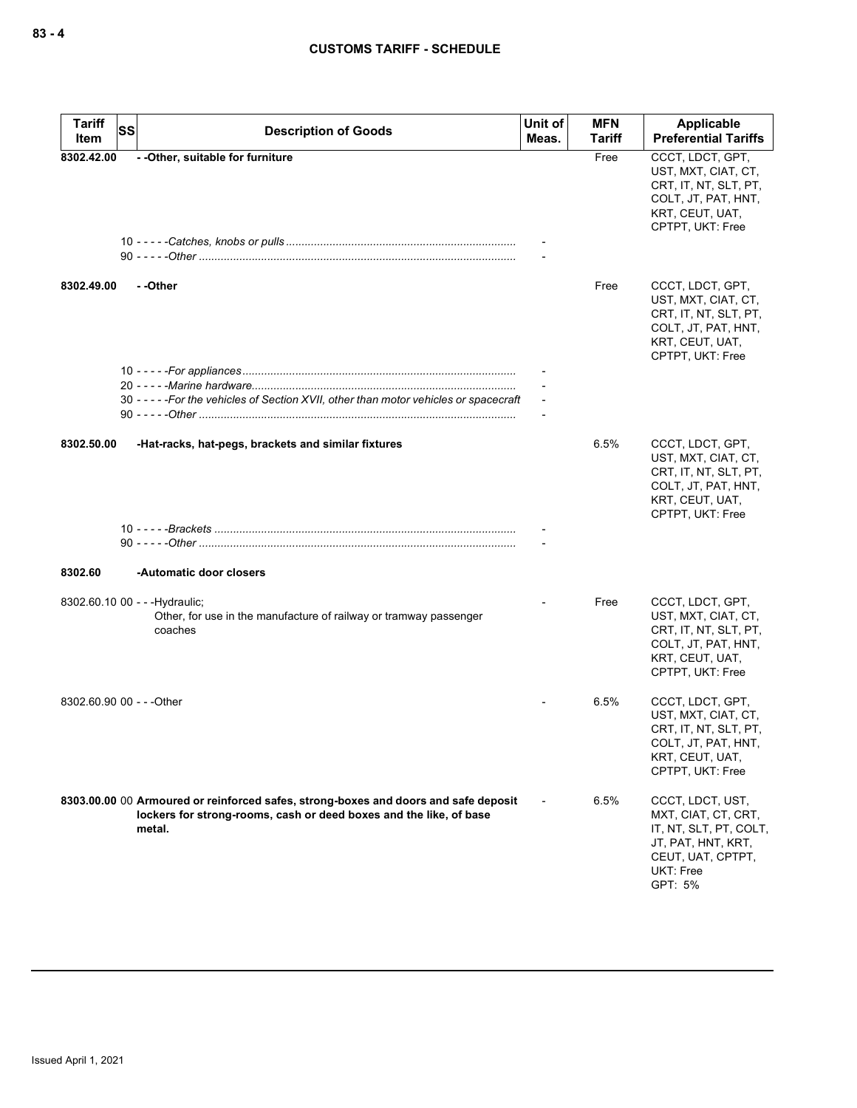| Tariff<br>ltem            | <b>SS</b> | <b>Description of Goods</b>                                                                                                                                         | Unit of<br>Meas. | <b>MFN</b><br>Tariff | Applicable<br><b>Preferential Tariffs</b>                                                                                            |
|---------------------------|-----------|---------------------------------------------------------------------------------------------------------------------------------------------------------------------|------------------|----------------------|--------------------------------------------------------------------------------------------------------------------------------------|
| 8302.42.00                |           | - - Other, suitable for furniture                                                                                                                                   |                  | Free                 | CCCT, LDCT, GPT,<br>UST, MXT, CIAT, CT,<br>CRT, IT, NT, SLT, PT,<br>COLT, JT, PAT, HNT,<br>KRT, CEUT, UAT,<br>CPTPT, UKT: Free       |
| 8302.49.00                |           | - -Other                                                                                                                                                            |                  | Free                 | CCCT, LDCT, GPT,<br>UST, MXT, CIAT, CT,<br>CRT, IT, NT, SLT, PT,<br>COLT, JT, PAT, HNT,<br>KRT, CEUT, UAT,<br>CPTPT, UKT: Free       |
|                           |           | 30 ----- For the vehicles of Section XVII, other than motor vehicles or spacecraft                                                                                  |                  |                      |                                                                                                                                      |
| 8302.50.00                |           | -Hat-racks, hat-pegs, brackets and similar fixtures                                                                                                                 |                  | 6.5%                 | CCCT, LDCT, GPT,<br>UST, MXT, CIAT, CT,<br>CRT, IT, NT, SLT, PT,<br>COLT, JT, PAT, HNT,<br>KRT, CEUT, UAT,<br>CPTPT, UKT: Free       |
| 8302.60                   |           | -Automatic door closers                                                                                                                                             |                  |                      |                                                                                                                                      |
|                           |           | 8302.60.10 00 - - - Hydraulic;<br>Other, for use in the manufacture of railway or tramway passenger<br>coaches                                                      |                  | Free                 | CCCT, LDCT, GPT,<br>UST, MXT, CIAT, CT,<br>CRT, IT, NT, SLT, PT,<br>COLT, JT, PAT, HNT,<br>KRT, CEUT, UAT,<br>CPTPT, UKT: Free       |
| 8302.60.90 00 - - - Other |           |                                                                                                                                                                     |                  | 6.5%                 | CCCT, LDCT, GPT,<br>UST, MXT, CIAT, CT,<br>CRT, IT, NT, SLT, PT,<br>COLT, JT, PAT, HNT,<br>KRT, CEUT, UAT,<br>CPTPT, UKT: Free       |
|                           |           | 8303.00.00 00 Armoured or reinforced safes, strong-boxes and doors and safe deposit<br>lockers for strong-rooms, cash or deed boxes and the like, of base<br>metal. |                  | 6.5%                 | CCCT, LDCT, UST,<br>MXT, CIAT, CT, CRT,<br>IT, NT, SLT, PT, COLT,<br>JT, PAT, HNT, KRT,<br>CEUT, UAT, CPTPT,<br>UKT: Free<br>GPT: 5% |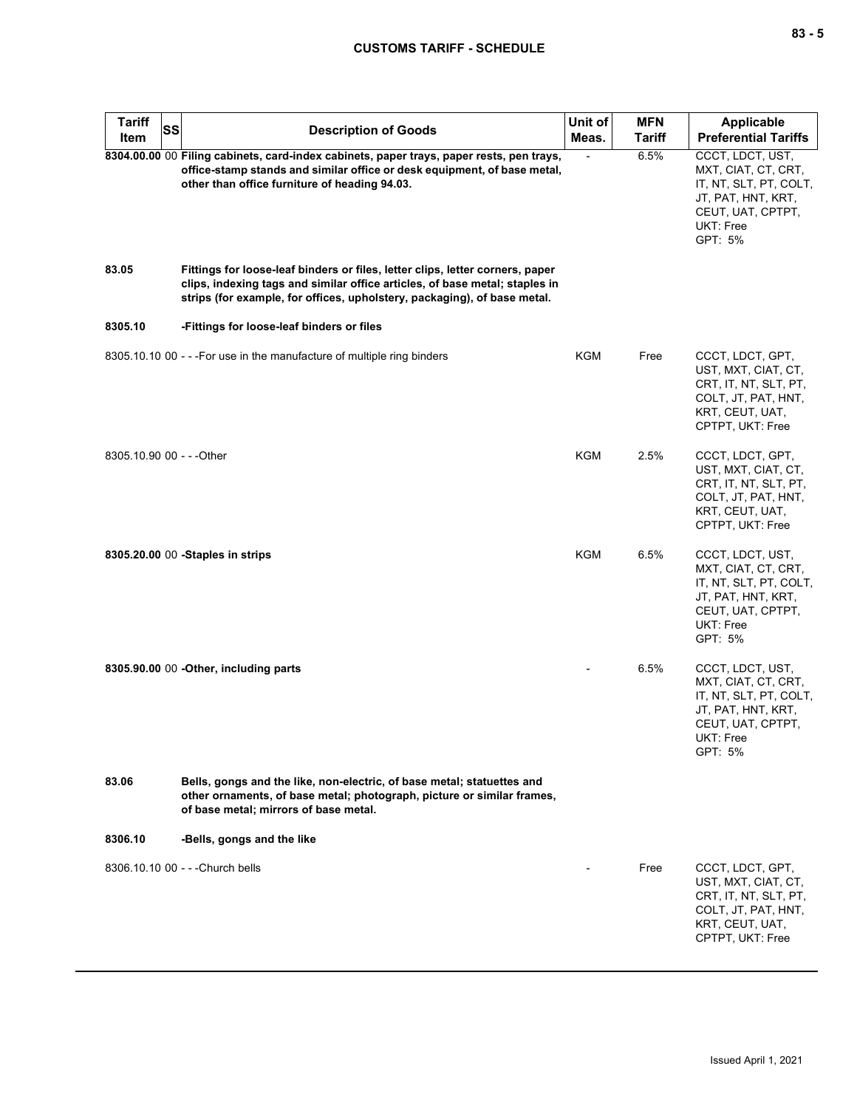# **CUSTOMS TARIFF - SCHEDULE**

| Tariff<br>Item            | SS | <b>Description of Goods</b>                                                                                                                                                                                                              | Unit of<br>Meas. | <b>MFN</b><br><b>Tariff</b> | <b>Applicable</b><br><b>Preferential Tariffs</b>                                                                                     |
|---------------------------|----|------------------------------------------------------------------------------------------------------------------------------------------------------------------------------------------------------------------------------------------|------------------|-----------------------------|--------------------------------------------------------------------------------------------------------------------------------------|
|                           |    | 8304.00.00 00 Filing cabinets, card-index cabinets, paper trays, paper rests, pen trays,<br>office-stamp stands and similar office or desk equipment, of base metal,<br>other than office furniture of heading 94.03.                    |                  | 6.5%                        | CCCT, LDCT, UST,<br>MXT, CIAT, CT, CRT,<br>IT, NT, SLT, PT, COLT,<br>JT, PAT, HNT, KRT,<br>CEUT, UAT, CPTPT,<br>UKT: Free<br>GPT: 5% |
| 83.05                     |    | Fittings for loose-leaf binders or files, letter clips, letter corners, paper<br>clips, indexing tags and similar office articles, of base metal; staples in<br>strips (for example, for offices, upholstery, packaging), of base metal. |                  |                             |                                                                                                                                      |
| 8305.10                   |    | -Fittings for loose-leaf binders or files                                                                                                                                                                                                |                  |                             |                                                                                                                                      |
|                           |    | 8305.10.10 00 - - - For use in the manufacture of multiple ring binders                                                                                                                                                                  | KGM              | Free                        | CCCT, LDCT, GPT,<br>UST, MXT, CIAT, CT,<br>CRT, IT, NT, SLT, PT,<br>COLT, JT, PAT, HNT,<br>KRT, CEUT, UAT,<br>CPTPT, UKT: Free       |
| 8305.10.90 00 - - - Other |    |                                                                                                                                                                                                                                          | KGM              | 2.5%                        | CCCT, LDCT, GPT,<br>UST, MXT, CIAT, CT,<br>CRT, IT, NT, SLT, PT,<br>COLT, JT, PAT, HNT,<br>KRT, CEUT, UAT,<br>CPTPT, UKT: Free       |
|                           |    | 8305.20.00 00 -Staples in strips                                                                                                                                                                                                         | KGM              | 6.5%                        | CCCT, LDCT, UST,<br>MXT, CIAT, CT, CRT,<br>IT, NT, SLT, PT, COLT,<br>JT, PAT, HNT, KRT,<br>CEUT, UAT, CPTPT,<br>UKT: Free<br>GPT: 5% |
|                           |    | 8305.90.00 00 - Other, including parts                                                                                                                                                                                                   |                  | 6.5%                        | CCCT, LDCT, UST,<br>MXT, CIAT, CT, CRT,<br>IT, NT, SLT, PT, COLT,<br>JT, PAT, HNT, KRT,<br>CEUT, UAT, CPTPT,<br>UKT: Free<br>GPT: 5% |
| 83.06                     |    | Bells, gongs and the like, non-electric, of base metal; statuettes and<br>other ornaments, of base metal; photograph, picture or similar frames,<br>of base metal; mirrors of base metal.                                                |                  |                             |                                                                                                                                      |
| 8306.10                   |    | -Bells, gongs and the like                                                                                                                                                                                                               |                  |                             |                                                                                                                                      |
|                           |    | 8306.10.10 00 - - - Church bells                                                                                                                                                                                                         |                  | Free                        | CCCT, LDCT, GPT,<br>UST, MXT, CIAT, CT,<br>CRT, IT, NT, SLT, PT,<br>COLT, JT, PAT, HNT,<br>KRT, CEUT, UAT,<br>CPTPT, UKT: Free       |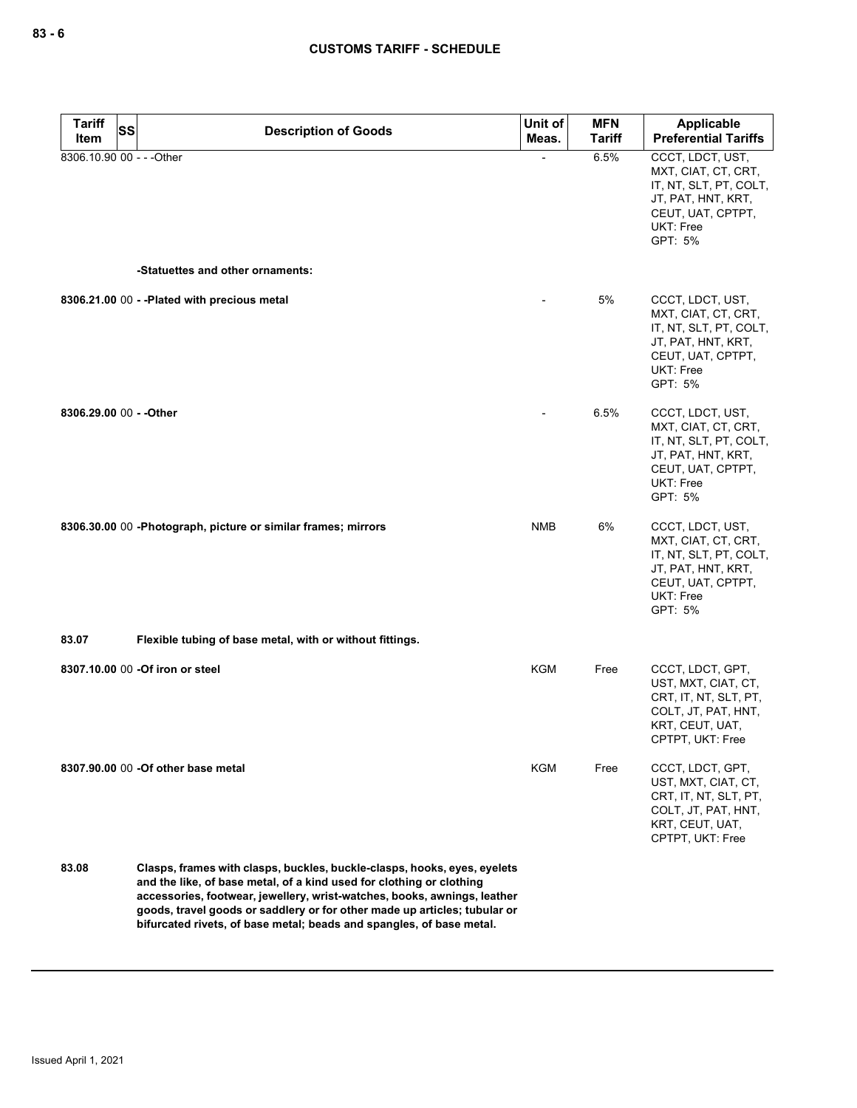| <b>Tariff</b><br>SS<br>Item | <b>Description of Goods</b>                                                                                                                                                                                                                                                                                                                                                       | Unit of<br>Meas. | <b>MFN</b><br><b>Tariff</b> | Applicable<br><b>Preferential Tariffs</b>                                                                                                   |
|-----------------------------|-----------------------------------------------------------------------------------------------------------------------------------------------------------------------------------------------------------------------------------------------------------------------------------------------------------------------------------------------------------------------------------|------------------|-----------------------------|---------------------------------------------------------------------------------------------------------------------------------------------|
| 8306.10.90 00 - - - Other   |                                                                                                                                                                                                                                                                                                                                                                                   |                  | 6.5%                        | CCCT, LDCT, UST,<br>MXT, CIAT, CT, CRT,<br>IT, NT, SLT, PT, COLT,<br>JT, PAT, HNT, KRT,<br>CEUT, UAT, CPTPT,<br>UKT: Free<br>GPT: 5%        |
|                             | -Statuettes and other ornaments:                                                                                                                                                                                                                                                                                                                                                  |                  |                             |                                                                                                                                             |
|                             | 8306.21.00 00 - - Plated with precious metal                                                                                                                                                                                                                                                                                                                                      |                  | 5%                          | CCCT, LDCT, UST,<br>MXT, CIAT, CT, CRT,<br>IT, NT, SLT, PT, COLT,<br>JT, PAT, HNT, KRT,<br>CEUT, UAT, CPTPT,<br>UKT: Free<br>GPT: 5%        |
| 8306.29.00 00 - - Other     |                                                                                                                                                                                                                                                                                                                                                                                   |                  | 6.5%                        | CCCT, LDCT, UST,<br>MXT, CIAT, CT, CRT,<br>IT, NT, SLT, PT, COLT,<br>JT, PAT, HNT, KRT,<br>CEUT, UAT, CPTPT,<br><b>UKT: Free</b><br>GPT: 5% |
|                             | 8306.30.00 00 -Photograph, picture or similar frames; mirrors                                                                                                                                                                                                                                                                                                                     | NMB              | 6%                          | CCCT, LDCT, UST,<br>MXT, CIAT, CT, CRT,<br>IT, NT, SLT, PT, COLT,<br>JT, PAT, HNT, KRT,<br>CEUT, UAT, CPTPT,<br>UKT: Free<br>GPT: 5%        |
| 83.07                       | Flexible tubing of base metal, with or without fittings.                                                                                                                                                                                                                                                                                                                          |                  |                             |                                                                                                                                             |
|                             | 8307.10.00 00 -Of iron or steel                                                                                                                                                                                                                                                                                                                                                   | KGM              | Free                        | CCCT, LDCT, GPT,<br>UST, MXT, CIAT, CT,<br>CRT, IT, NT, SLT, PT,<br>COLT, JT, PAT, HNT,<br>KRT, CEUT, UAT,<br>CPTPT, UKT: Free              |
|                             | 8307.90.00 00 - Of other base metal                                                                                                                                                                                                                                                                                                                                               | KGM              | Free                        | CCCT, LDCT, GPT,<br>UST, MXT, CIAT, CT,<br>CRT, IT, NT, SLT, PT,<br>COLT, JT, PAT, HNT,<br>KRT, CEUT, UAT,<br>CPTPT, UKT: Free              |
| 83.08                       | Clasps, frames with clasps, buckles, buckle-clasps, hooks, eyes, eyelets<br>and the like, of base metal, of a kind used for clothing or clothing<br>accessories, footwear, jewellery, wrist-watches, books, awnings, leather<br>goods, travel goods or saddlery or for other made up articles; tubular or<br>bifurcated rivets, of base metal; beads and spangles, of base metal. |                  |                             |                                                                                                                                             |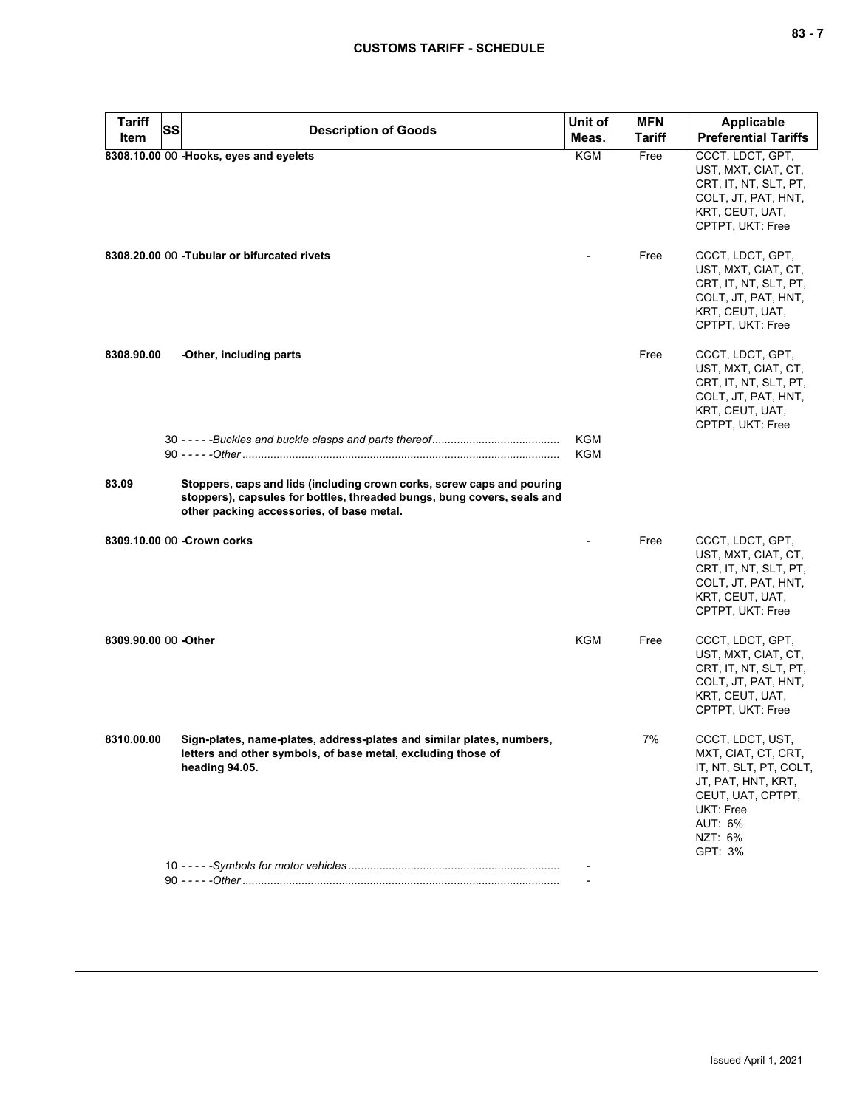| <b>Tariff</b>         | SS | <b>Description of Goods</b>                                                                                                                                                                    | Unit of           | <b>MFN</b> | <b>Applicable</b>                                                                                                                                          |
|-----------------------|----|------------------------------------------------------------------------------------------------------------------------------------------------------------------------------------------------|-------------------|------------|------------------------------------------------------------------------------------------------------------------------------------------------------------|
| Item                  |    |                                                                                                                                                                                                | Meas.             | Tariff     | <b>Preferential Tariffs</b>                                                                                                                                |
|                       |    | 8308.10.00 00 -Hooks, eyes and eyelets                                                                                                                                                         | <b>KGM</b>        | Free       | CCCT, LDCT, GPT,<br>UST, MXT, CIAT, CT,<br>CRT, IT, NT, SLT, PT,<br>COLT, JT, PAT, HNT,<br>KRT, CEUT, UAT,<br>CPTPT, UKT: Free                             |
|                       |    | 8308.20.00 00 - Tubular or bifurcated rivets                                                                                                                                                   |                   | Free       | CCCT, LDCT, GPT,<br>UST, MXT, CIAT, CT,<br>CRT, IT, NT, SLT, PT,<br>COLT, JT, PAT, HNT,<br>KRT, CEUT, UAT,<br>CPTPT, UKT: Free                             |
| 8308.90.00            |    | -Other, including parts                                                                                                                                                                        |                   | Free       | CCCT, LDCT, GPT,<br>UST, MXT, CIAT, CT,<br>CRT, IT, NT, SLT, PT,<br>COLT, JT, PAT, HNT,<br>KRT, CEUT, UAT,<br>CPTPT, UKT: Free                             |
|                       |    |                                                                                                                                                                                                | KGM<br><b>KGM</b> |            |                                                                                                                                                            |
| 83.09                 |    | Stoppers, caps and lids (including crown corks, screw caps and pouring<br>stoppers), capsules for bottles, threaded bungs, bung covers, seals and<br>other packing accessories, of base metal. |                   |            |                                                                                                                                                            |
|                       |    | 8309.10.00 00 - Crown corks                                                                                                                                                                    |                   | Free       | CCCT, LDCT, GPT,<br>UST, MXT, CIAT, CT,<br>CRT, IT, NT, SLT, PT,<br>COLT, JT, PAT, HNT,<br>KRT, CEUT, UAT,<br>CPTPT, UKT: Free                             |
| 8309.90.00 00 - Other |    |                                                                                                                                                                                                | <b>KGM</b>        | Free       | CCCT, LDCT, GPT,<br>UST, MXT, CIAT, CT,<br>CRT, IT, NT, SLT, PT,<br>COLT, JT, PAT, HNT,<br>KRT, CEUT, UAT,<br>CPTPT, UKT: Free                             |
| 8310.00.00            |    | Sign-plates, name-plates, address-plates and similar plates, numbers,<br>letters and other symbols, of base metal, excluding those of<br>heading 94.05.                                        |                   | 7%         | CCCT, LDCT, UST,<br>MXT, CIAT, CT, CRT,<br>IT, NT, SLT, PT, COLT,<br>JT, PAT, HNT, KRT,<br>CEUT, UAT, CPTPT,<br>UKT: Free<br>AUT: 6%<br>NZT: 6%<br>GPT: 3% |
|                       |    |                                                                                                                                                                                                |                   |            |                                                                                                                                                            |